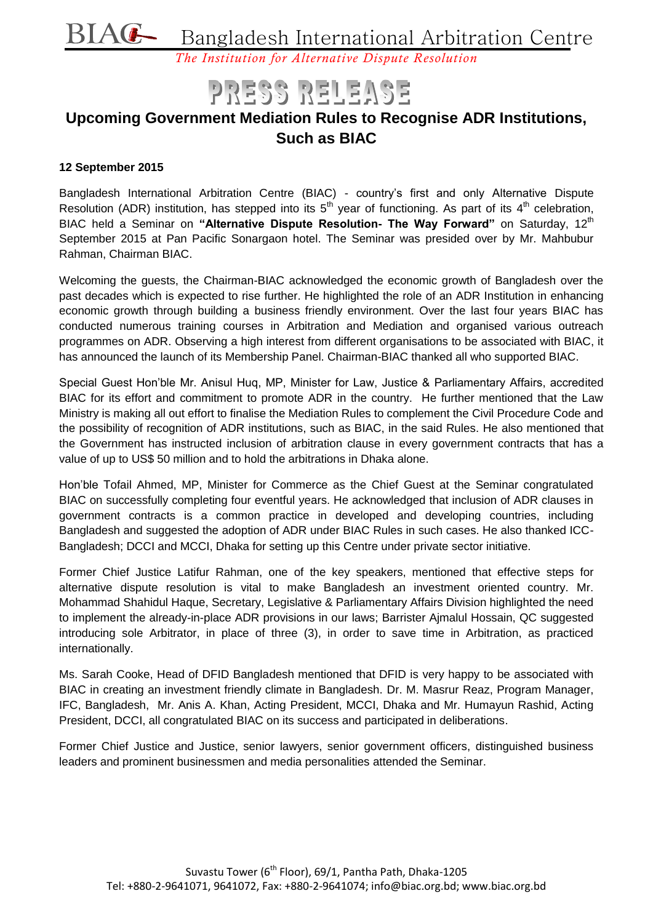

*The Institution for Alternative Dispute Resolution*

# PRESS RELEASE

## **Upcoming Government Mediation Rules to Recognise ADR Institutions, Such as BIAC**

#### **12 September 2015**

Bangladesh International Arbitration Centre (BIAC) - country's first and only Alternative Dispute Resolution (ADR) institution, has stepped into its  $5<sup>th</sup>$  year of functioning. As part of its  $4<sup>th</sup>$  celebration, BIAC held a Seminar on "Alternative Dispute Resolution- The Way Forward" on Saturday, 12<sup>th</sup> September 2015 at Pan Pacific Sonargaon hotel. The Seminar was presided over by Mr. Mahbubur Rahman, Chairman BIAC.

Welcoming the guests, the Chairman-BIAC acknowledged the economic growth of Bangladesh over the past decades which is expected to rise further. He highlighted the role of an ADR Institution in enhancing economic growth through building a business friendly environment. Over the last four years BIAC has conducted numerous training courses in Arbitration and Mediation and organised various outreach programmes on ADR. Observing a high interest from different organisations to be associated with BIAC, it has announced the launch of its Membership Panel. Chairman-BIAC thanked all who supported BIAC.

Special Guest Hon'ble Mr. Anisul Huq, MP, Minister for Law, Justice & Parliamentary Affairs, accredited BIAC for its effort and commitment to promote ADR in the country. He further mentioned that the Law Ministry is making all out effort to finalise the Mediation Rules to complement the Civil Procedure Code and the possibility of recognition of ADR institutions, such as BIAC, in the said Rules. He also mentioned that the Government has instructed inclusion of arbitration clause in every government contracts that has a value of up to US\$ 50 million and to hold the arbitrations in Dhaka alone.

Hon'ble Tofail Ahmed, MP, Minister for Commerce as the Chief Guest at the Seminar congratulated BIAC on successfully completing four eventful years. He acknowledged that inclusion of ADR clauses in government contracts is a common practice in developed and developing countries, including Bangladesh and suggested the adoption of ADR under BIAC Rules in such cases. He also thanked ICC-Bangladesh; DCCI and MCCI, Dhaka for setting up this Centre under private sector initiative.

Former Chief Justice Latifur Rahman, one of the key speakers, mentioned that effective steps for alternative dispute resolution is vital to make Bangladesh an investment oriented country. Mr. Mohammad Shahidul Haque, Secretary, Legislative & Parliamentary Affairs Division highlighted the need to implement the already-in-place ADR provisions in our laws; Barrister Ajmalul Hossain, QC suggested introducing sole Arbitrator, in place of three (3), in order to save time in Arbitration, as practiced internationally.

Ms. Sarah Cooke, Head of DFID Bangladesh mentioned that DFID is very happy to be associated with BIAC in creating an investment friendly climate in Bangladesh. Dr. M. Masrur Reaz, Program Manager, IFC, Bangladesh, Mr. Anis A. Khan, Acting President, MCCI, Dhaka and Mr. Humayun Rashid, Acting President, DCCI, all congratulated BIAC on its success and participated in deliberations.

Former Chief Justice and Justice, senior lawyers, senior government officers, distinguished business leaders and prominent businessmen and media personalities attended the Seminar.